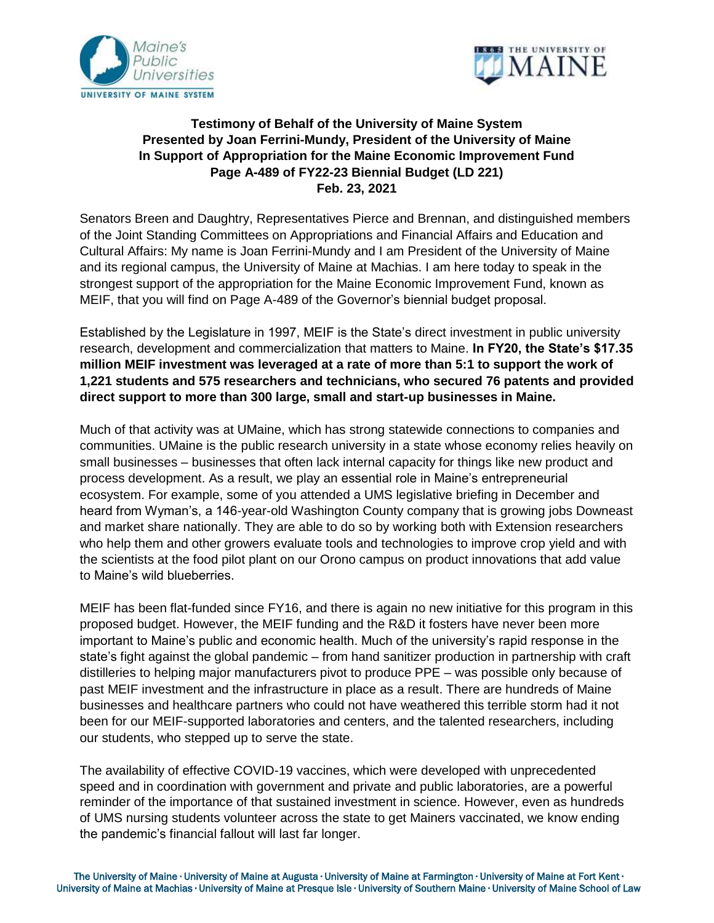



## **Testimony of Behalf of the University of Maine System Presented by Joan Ferrini-Mundy, President of the University of Maine In Support of Appropriation for the Maine Economic Improvement Fund Page A-489 of FY22-23 Biennial Budget (LD 221) Feb. 23, 2021**

Senators Breen and Daughtry, Representatives Pierce and Brennan, and distinguished members of the Joint Standing Committees on Appropriations and Financial Affairs and Education and Cultural Affairs: My name is Joan Ferrini-Mundy and I am President of the University of Maine and its regional campus, the University of Maine at Machias. I am here today to speak in the strongest support of the appropriation for the Maine Economic Improvement Fund, known as MEIF, that you will find on Page A-489 of the Governor's biennial budget proposal.

Established by the Legislature in 1997, MEIF is the State's direct investment in public university research, development and commercialization that matters to Maine. **In FY20, the State's \$17.35 million MEIF investment was leveraged at a rate of more than 5:1 to support the work of 1,221 students and 575 researchers and technicians, who secured 76 patents and provided direct support to more than 300 large, small and start-up businesses in Maine.**

Much of that activity was at UMaine, which has strong statewide connections to companies and communities. UMaine is the public research university in a state whose economy relies heavily on small businesses – businesses that often lack internal capacity for things like new product and process development. As a result, we play an essential role in Maine's entrepreneurial ecosystem. For example, some of you attended a UMS legislative briefing in December and heard from Wyman's, a 146-year-old Washington County company that is growing jobs Downeast and market share nationally. They are able to do so by working both with Extension researchers who help them and other growers evaluate tools and technologies to improve crop yield and with the scientists at the food pilot plant on our Orono campus on product innovations that add value to Maine's wild blueberries.

MEIF has been flat-funded since FY16, and there is again no new initiative for this program in this proposed budget. However, the MEIF funding and the R&D it fosters have never been more important to Maine's public and economic health. Much of the university's rapid response in the state's fight against the global pandemic – from hand sanitizer production in partnership with craft distilleries to helping major manufacturers pivot to produce PPE – was possible only because of past MEIF investment and the infrastructure in place as a result. There are hundreds of Maine businesses and healthcare partners who could not have weathered this terrible storm had it not been for our MEIF-supported laboratories and centers, and the talented researchers, including our students, who stepped up to serve the state.

The availability of effective COVID-19 vaccines, which were developed with unprecedented speed and in coordination with government and private and public laboratories, are a powerful reminder of the importance of that sustained investment in science. However, even as hundreds of UMS nursing students volunteer across the state to get Mainers vaccinated, we know ending the pandemic's financial fallout will last far longer.